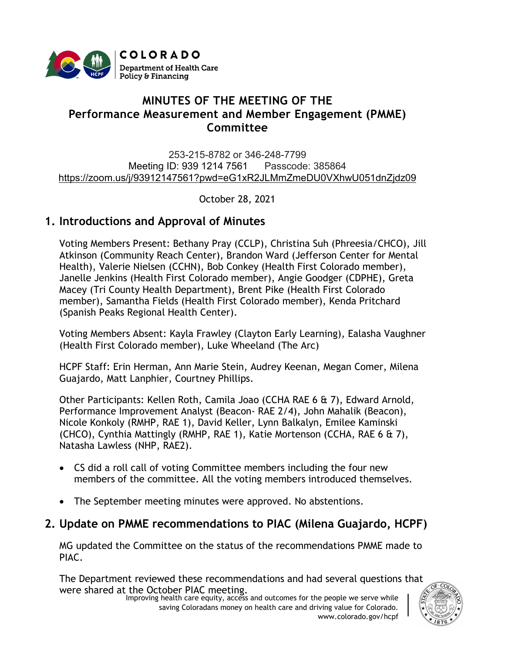

# **MINUTES OF THE MEETING OF THE Performance Measurement and Member Engagement (PMME) Committee**

253-215-8782 or 346-248-7799 Meeting ID: 939 1214 7561 Passcode: 385864 [https://zoom.us/j/93912147561?pwd=eG1xR2JLMmZmeDU0VXhwU051dnZjdz09](https://urldefense.proofpoint.com/v2/url?u=https-3A__www.google.com_url-3Fq-3Dhttps-253A-252F-252Fzoom.us-252Fj-252F93912147561-253Fpwd-253DeG1xR2JLMmZmeDU0VXhwU051dnZjdz09-26sa-3DD-26ust-3D1616530236370000-26usg-3DAOvVaw2pBOHmp3kVX1RmT87UJo0h&d=DwMFaQ&c=sdnEM9SRGFuMt5z5w3AhsPNahmNicq64TgF1JwNR0cs&r=XWoW260UwlojDCSAAnCqRfzrOLFbHxFVx9ZWew2lkos&m=gKyuBSmgRDJ6jxp0dfm5SYf1S_bKcrF8OvgCKwLVieo&s=ts5VsXoiEWnrRji4C9UDtnQYAgBWW4W-PixaYiXvtzw&e=)

October 28, 2021

### **1. Introductions and Approval of Minutes**

Voting Members Present: Bethany Pray (CCLP), Christina Suh (Phreesia/CHCO), Jill Atkinson (Community Reach Center), Brandon Ward (Jefferson Center for Mental Health), Valerie Nielsen (CCHN), Bob Conkey (Health First Colorado member), Janelle Jenkins (Health First Colorado member), Angie Goodger (CDPHE), Greta Macey (Tri County Health Department), Brent Pike (Health First Colorado member), Samantha Fields (Health First Colorado member), Kenda Pritchard (Spanish Peaks Regional Health Center).

Voting Members Absent: Kayla Frawley (Clayton Early Learning), Ealasha Vaughner (Health First Colorado member), Luke Wheeland (The Arc)

HCPF Staff: Erin Herman, Ann Marie Stein, Audrey Keenan, Megan Comer, Milena Guajardo, Matt Lanphier, Courtney Phillips.

Other Participants: Kellen Roth, Camila Joao (CCHA RAE 6 & 7), Edward Arnold, Performance Improvement Analyst (Beacon- RAE 2/4), John Mahalik (Beacon), Nicole Konkoly (RMHP, RAE 1), David Keller, Lynn Balkalyn, Emilee Kaminski (CHCO), Cynthia Mattingly (RMHP, RAE 1), Katie Mortenson (CCHA, RAE 6 & 7), Natasha Lawless (NHP, RAE2).

- CS did a roll call of voting Committee members including the four new members of the committee. All the voting members introduced themselves.
- The September meeting minutes were approved. No abstentions.

# **2. Update on PMME recommendations to PIAC (Milena Guajardo, HCPF)**

MG updated the Committee on the status of the recommendations PMME made to PIAC.

Improving health care equity, access and outcomes for the people we serve while were shared at the October PIAC meeting. The Department reviewed these recommendations and had several questions that

saving Coloradans money on health care and driving value for Colorado. www.colorado.gov/hcpf

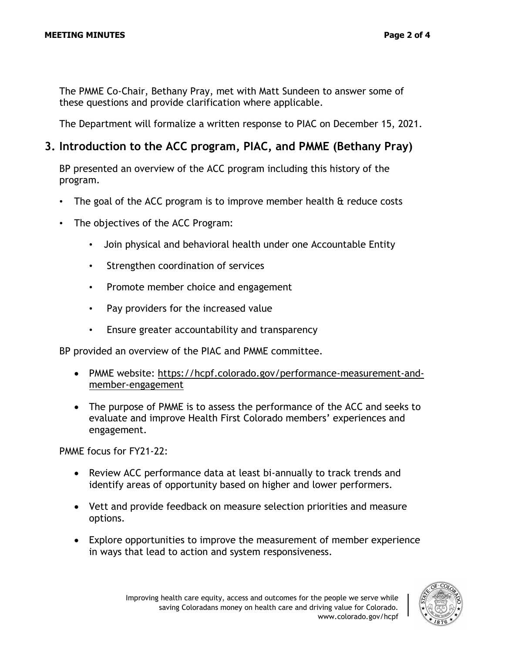The PMME Co-Chair, Bethany Pray, met with Matt Sundeen to answer some of these questions and provide clarification where applicable.

The Department will formalize a written response to PIAC on December 15, 2021.

### **3. Introduction to the ACC program, PIAC, and PMME (Bethany Pray)**

BP presented an overview of the ACC program including this history of the program.

- The goal of the ACC program is to improve member health & reduce costs
- The objectives of the ACC Program:
	- Join physical and behavioral health under one Accountable Entity
	- Strengthen coordination of services
	- Promote member choice and engagement
	- Pay providers for the increased value
	- Ensure greater accountability and transparency

BP provided an overview of the PIAC and PMME committee.

- PMME website: [https://hcpf.colorado.gov/performance-measurement-and](https://hcpf.colorado.gov/performance-measurement-and-member-engagement)[member-engagement](https://hcpf.colorado.gov/performance-measurement-and-member-engagement)
- The purpose of PMME is to assess the performance of the ACC and seeks to evaluate and improve Health First Colorado members' experiences and engagement.

PMME focus for FY21-22:

- Review ACC performance data at least bi-annually to track trends and identify areas of opportunity based on higher and lower performers.
- Vett and provide feedback on measure selection priorities and measure options.
- Explore opportunities to improve the measurement of member experience in ways that lead to action and system responsiveness.

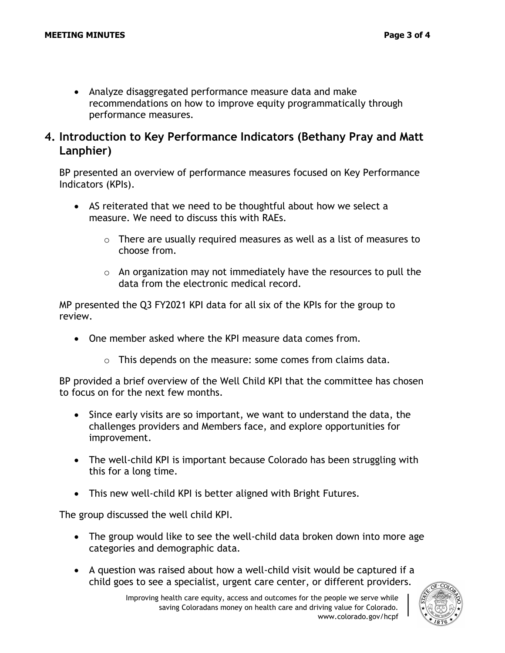• Analyze disaggregated performance measure data and make recommendations on how to improve equity programmatically through performance measures.

### **4. Introduction to Key Performance Indicators (Bethany Pray and Matt Lanphier)**

BP presented an overview of performance measures focused on Key Performance Indicators (KPIs).

- AS reiterated that we need to be thoughtful about how we select a measure. We need to discuss this with RAEs.
	- $\circ$  There are usually required measures as well as a list of measures to choose from.
	- $\circ$  An organization may not immediately have the resources to pull the data from the electronic medical record.

MP presented the Q3 FY2021 KPI data for all six of the KPIs for the group to review.

- One member asked where the KPI measure data comes from.
	- o This depends on the measure: some comes from claims data.

BP provided a brief overview of the Well Child KPI that the committee has chosen to focus on for the next few months.

- Since early visits are so important, we want to understand the data, the challenges providers and Members face, and explore opportunities for improvement.
- The well-child KPI is important because Colorado has been struggling with this for a long time.
- This new well-child KPI is better aligned with Bright Futures.

The group discussed the well child KPI.

- The group would like to see the well-child data broken down into more age categories and demographic data.
- A question was raised about how a well-child visit would be captured if a child goes to see a specialist, urgent care center, or different providers.